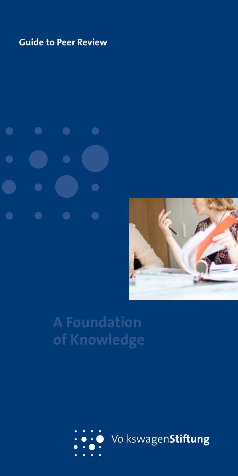# **Guide to Peer Review**

 $\bullet$  $\bullet$  $\bullet$  $\bullet$ 



# **A Foundation of Knowledge**

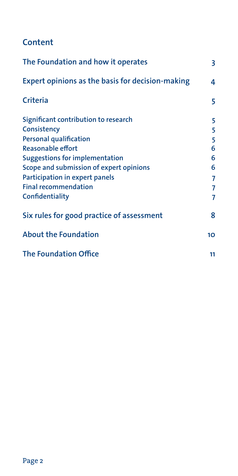# **Content**

| The Foundation and how it operates                           | 3               |
|--------------------------------------------------------------|-----------------|
| Expert opinions as the basis for decision-making<br>Criteria | 4<br>5          |
|                                                              |                 |
| Consistency                                                  | 5               |
| <b>Personal qualification</b>                                | 5               |
| <b>Reasonable effort</b>                                     | 6               |
| <b>Suggestions for implementation</b>                        | 6               |
| Scope and submission of expert opinions                      | 6               |
| Participation in expert panels                               | 7               |
| <b>Final recommendation</b>                                  | 7               |
| Confidentiality                                              | 7               |
| Six rules for good practice of assessment                    | 8               |
| <b>About the Foundation</b>                                  | 10 <sup>2</sup> |
| <b>The Foundation Office</b>                                 | 11              |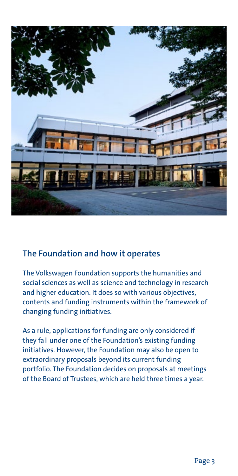

#### **The Foundation and how it operates**

The Volkswagen Foundation supports the humanities and social sciences as well as science and technology in research and higher education. It does so with various objectives, contents and funding instruments within the framework of changing funding initiatives.

As a rule, applications for funding are only considered if they fall under one of the Foundation's existing funding initiatives. However, the Foundation may also be open to extraordinary proposals beyond its current funding portfolio. The Foundation decides on proposals at meetings of the Board of Trustees, which are held three times a year.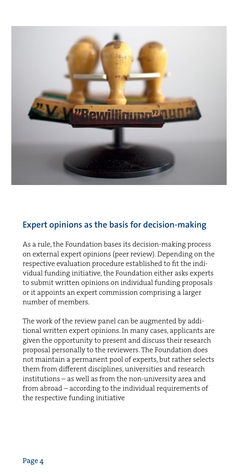

#### **Expert opinions as the basis for decision-making**

As a rule, the Foundation bases its decision-making process on external expert opinions (peer review). Depending on the respective evaluation procedure established to fit the individual funding initiative, the Foundation either asks experts to submit written opinions on individual funding proposals or it appoints an expert commission comprising a larger number of members.

The work of the review panel can be augmented by additional written expert opinions. In many cases, applicants are given the opportunity to present and discuss their research proposal personally to the reviewers. The Foundation does not maintain a permanent pool of experts, but rather selects them from different disciplines, universities and research institutions – as well as from the non-university area and from abroad – according to the individual requirements of the respective funding initiative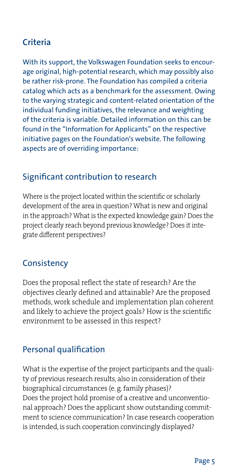# **Criteria**

With its support, the Volkswagen Foundation seeks to encourage original, high-potential research, which may possibly also be rather risk-prone. The Foundation has compiled a criteria catalog which acts as a benchmark for the assessment. Owing to the varying strategic and content-related orientation of the individual funding initiatives, the relevance and weighting of the criteria is variable. Detailed information on this can be found in the "Information for Applicants" on the respective initiative pages on the Foundation's website. The following aspects are of overriding importance:

#### Significant contribution to research

Where is the project located within the scientific or scholarly development of the area in question? What is new and original in the approach? What is the expected knowledge gain? Does the project clearly reach beyond previous knowledge? Does it integrate different perspectives?

#### **Consistency**

Does the proposal reflect the state of research? Are the objectives clearly defined and attainable? Are the proposed methods, work schedule and implementation plan coherent and likely to achieve the project goals? How is the scientific environment to be assessed in this respect?

#### Personal qualification

What is the expertise of the project participants and the quality of previous research results, also in consideration of their biographical circumstances (e. g. family phases)? Does the project hold promise of a creative and unconventional approach? Does the applicant show outstanding commitment to science communication? In case research cooperation is intended, is such cooperation convincingly displayed?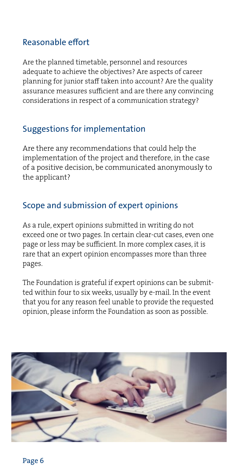#### Reasonable effort

Are the planned timetable, personnel and resources adequate to achieve the objectives? Are aspects of career planning for junior staff taken into account? Are the quality assurance measures sufficient and are there any convincing considerations in respect of a communication strategy?

#### Suggestions for implementation

Are there any recommendations that could help the implementation of the project and therefore, in the case of a positive decision, be communicated anonymously to the applicant?

#### Scope and submission of expert opinions

As a rule, expert opinions submitted in writing do not exceed one or two pages. In certain clear-cut cases, even one page or less may be sufficient. In more complex cases, it is rare that an expert opinion encompasses more than three pages.

The Foundation is grateful if expert opinions can be submitted within four to six weeks, usually by e-mail. In the event that you for any reason feel unable to provide the requested opinion, please inform the Foundation as soon as possible.

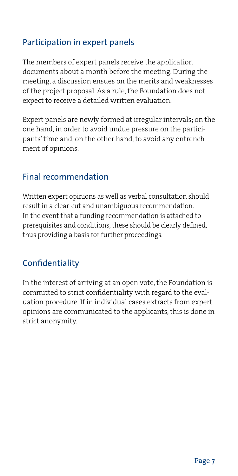## Participation in expert panels

The members of expert panels receive the application documents about a month before the meeting. During the meeting, a discussion ensues on the merits and weaknesses of the project proposal. As a rule, the Foundation does not expect to receive a detailed written evaluation.

Expert panels are newly formed at irregular intervals; on the one hand, in order to avoid undue pressure on the participants' time and, on the other hand, to avoid any entrenchment of opinions.

#### Final recommendation

Written expert opinions as well as verbal consultation should result in a clear-cut and unambiguous recommendation. In the event that a funding recommendation is attached to prerequisites and conditions, these should be clearly defined, thus providing a basis for further proceedings.

# **Confidentiality**

In the interest of arriving at an open vote, the Foundation is committed to strict confidentiality with regard to the evaluation procedure. If in individual cases extracts from expert opinions are communicated to the applicants, this is done in strict anonymity.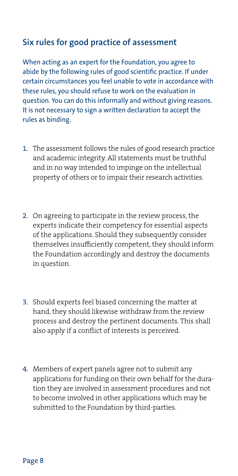#### **Six rules for good practice of assessment**

When acting as an expert for the Foundation, you agree to abide by the following rules of good scientific practice. If under certain circumstances you feel unable to vote in accordance with these rules, you should refuse to work on the evaluation in question. You can do this informally and without giving reasons. It is not necessary to sign a written declaration to accept the rules as binding.

- 1. The assessment follows the rules of good research practice and academic integrity. All statements must be truthful and in no way intended to impinge on the intellectual property of others or to impair their research activities.
- 2. On agreeing to participate in the review process, the experts indicate their competency for essential aspects of the applications. Should they subsequently consider themselves insufficiently competent, they should inform the Foundation accordingly and destroy the documents in question.
- 3. Should experts feel biased concerning the matter at hand, they should likewise withdraw from the review process and destroy the pertinent documents. This shall also apply if a conflict of interests is perceived.
- 4. Members of expert panels agree not to submit any applications for funding on their own behalf for the duration they are involved in assessment procedures and not to become involved in other applications which may be submitted to the Foundation by third-parties.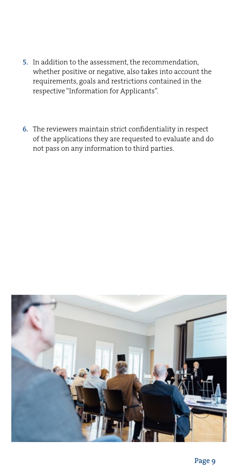- 5. In addition to the assessment, the recommendation, whether positive or negative, also takes into account the requirements, goals and restrictions contained in the respective "Information for Applicants".
- 6. The reviewers maintain strict confidentiality in respect of the applications they are requested to evaluate and do not pass on any information to third parties.

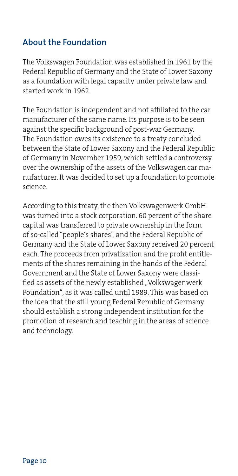#### **About the Foundation**

The Volkswagen Foundation was established in 1961 by the Federal Republic of Germany and the State of Lower Saxony as a foundation with legal capacity under private law and started work in 1962.

The Foundation is independent and not affiliated to the car manufacturer of the same name. Its purpose is to be seen against the specific background of post-war Germany. The Foundation owes its existence to a treaty concluded between the State of Lower Saxony and the Federal Republic of Germany in November 1959, which settled a controversy over the ownership of the assets of the Volkswagen car manufacturer. It was decided to set up a foundation to promote science.

According to this treaty, the then Volkswagenwerk GmbH was turned into a stock corporation. 60 percent of the share capital was transferred to private ownership in the form of so-called "people's shares", and the Federal Republic of Germany and the State of Lower Saxony received 20 percent each. The proceeds from privatization and the profit entitlements of the shares remaining in the hands of the Federal Government and the State of Lower Saxony were classified as assets of the newly established "Volkswagenwerk Foundation", as it was called until 1989. This was based on the idea that the still young Federal Republic of Germany should establish a strong independent institution for the promotion of research and teaching in the areas of science and technology.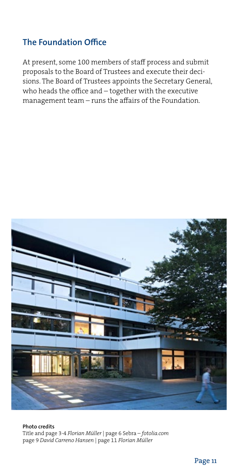## **The Foundation Office**

At present, some 100 members of staff process and submit proposals to the Board of Trustees and execute their decisions. The Board of Trustees appoints the Secretary General, who heads the office and – together with the executive management team – runs the affairs of the Foundation.



**Photo credits** Title and page 3-4 *Florian Müller* | page 6 Sebra – *fotolia.com*  page 9 *David Carreno Hansen* | page 11 *Florian Müller*